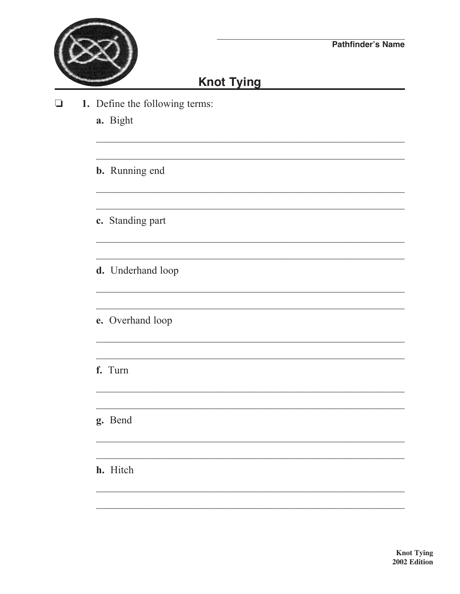

<u> 1980 - Jan Barbara Barbara, manazarta da </u>

## **Knot Tying**

- $\Box$ 1. Define the following terms:
	- a. Bight
	- **b.** Running end
	- c. Standing part
	- d. Underhand loop
	- e. Overhand loop
	- f. Turn
	- g. Bend
	- h. Hitch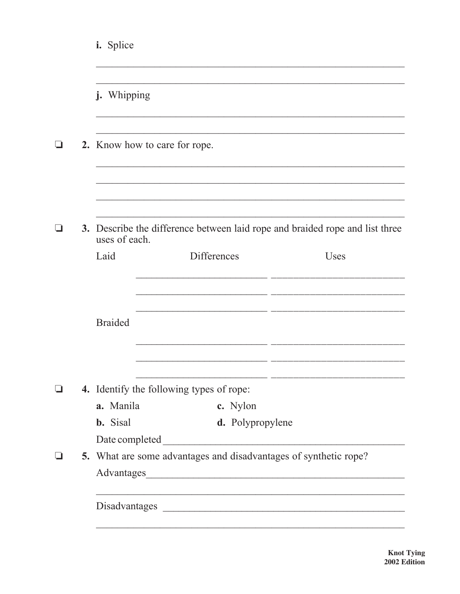| i. Splice                                                        |                                                                              |      |  |
|------------------------------------------------------------------|------------------------------------------------------------------------------|------|--|
| j. Whipping                                                      |                                                                              |      |  |
| 2. Know how to care for rope.                                    |                                                                              |      |  |
| uses of each.                                                    | 3. Describe the difference between laid rope and braided rope and list three |      |  |
| Laid                                                             | <b>Differences</b>                                                           | Uses |  |
|                                                                  |                                                                              |      |  |
| <b>Braided</b>                                                   |                                                                              |      |  |
|                                                                  | 4. Identify the following types of rope:                                     |      |  |
| a. Manila                                                        | c. Nylon                                                                     |      |  |
| <b>b.</b> Sisal                                                  | d. Polypropylene                                                             |      |  |
| Date completed                                                   |                                                                              |      |  |
| 5. What are some advantages and disadvantages of synthetic rope? |                                                                              |      |  |
|                                                                  | <u> 1989 - Johann Stoff, amerikansk politiker (* 1908)</u>                   |      |  |